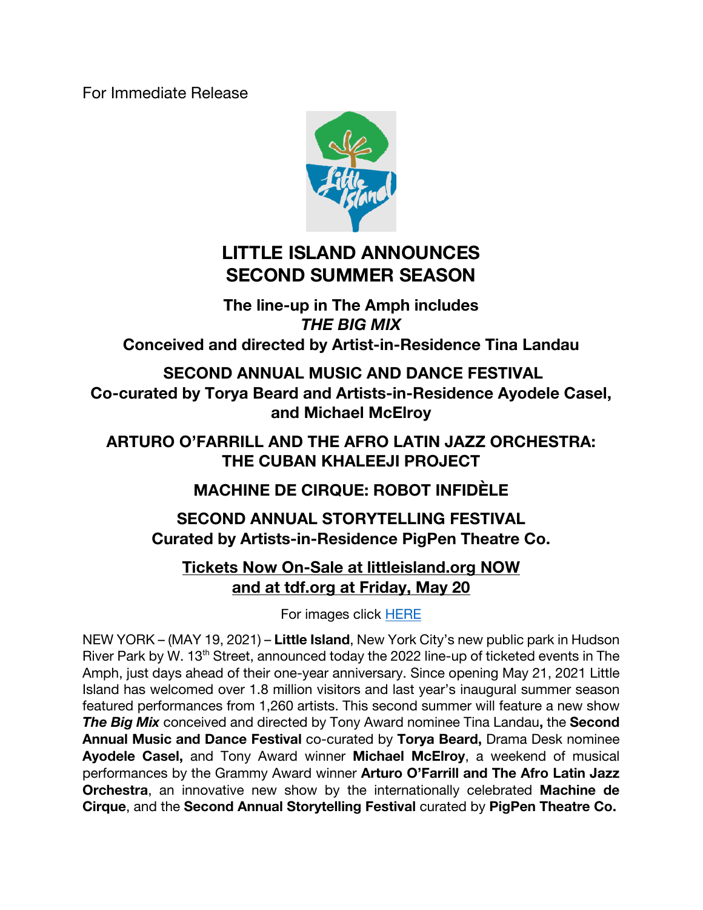For Immediate Release



# **LITTLE ISLAND ANNOUNCES SECOND SUMMER SEASON**

**The line-up in The Amph includes**  *THE BIG MIX* **Conceived and directed by Artist-in-Residence Tina Landau**

**SECOND ANNUAL MUSIC AND DANCE FESTIVAL Co-curated by Torya Beard and Artists-in-Residence Ayodele Casel, and Michael McElroy**

**ARTURO O'FARRILL AND THE AFRO LATIN JAZZ ORCHESTRA: THE CUBAN KHALEEJI PROJECT**

**MACHINE DE CIRQUE: ROBOT INFIDÈLE**

**SECOND ANNUAL STORYTELLING FESTIVAL Curated by Artists-in-Residence PigPen Theatre Co.**

## **Tickets Now On-Sale at littleisland.org NOW and at tdf.org at Friday, May 20**

For images click HERE

NEW YORK – (MAY 19, 2021) – **Little Island**, New York City's new public park in Hudson River Park by W. 13<sup>th</sup> Street, announced today the 2022 line-up of ticketed events in The Amph, just days ahead of their one-year anniversary. Since opening May 21, 2021 Little Island has welcomed over 1.8 million visitors and last year's inaugural summer season featured performances from 1,260 artists. This second summer will feature a new show *The Big Mix* conceived and directed by Tony Award nominee Tina Landau**,** the **Second Annual Music and Dance Festival** co-curated by **Torya Beard,** Drama Desk nominee **Ayodele Casel,** and Tony Award winner **Michael McElroy**, a weekend of musical performances by the Grammy Award winner **Arturo O'Farrill and The Afro Latin Jazz Orchestra**, an innovative new show by the internationally celebrated **Machine de Cirque**, and the **Second Annual Storytelling Festival** curated by **PigPen Theatre Co.**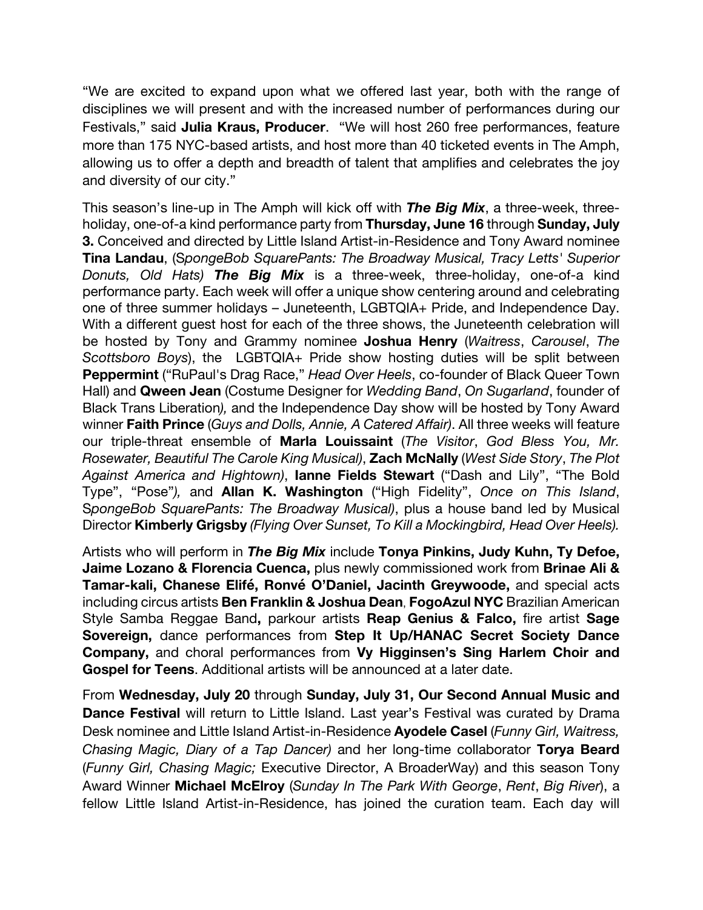"We are excited to expand upon what we offered last year, both with the range of disciplines we will present and with the increased number of performances during our Festivals," said **Julia Kraus, Producer**. "We will host 260 free performances, feature more than 175 NYC-based artists, and host more than 40 ticketed events in The Amph, allowing us to offer a depth and breadth of talent that amplifies and celebrates the joy and diversity of our city."

This season's line-up in The Amph will kick off with *The Big Mix*, a three-week, threeholiday, one-of-a kind performance party from **Thursday, June 16** through **Sunday, July 3.** Conceived and directed by Little Island Artist-in-Residence and Tony Award nominee **Tina Landau**, (S*pongeBob SquarePants: The Broadway Musical, Tracy Letts' Superior Donuts, Old Hats) The Big Mix* is a three-week, three-holiday, one-of-a kind performance party. Each week will offer a unique show centering around and celebrating one of three summer holidays – Juneteenth, LGBTQIA+ Pride, and Independence Day. With a different guest host for each of the three shows, the Juneteenth celebration will be hosted by Tony and Grammy nominee **Joshua Henry** (*Waitress*, *Carousel*, *The Scottsboro Boys*), the LGBTQIA+ Pride show hosting duties will be split between **Peppermint** ("RuPaul's Drag Race," *Head Over Heels*, co-founder of Black Queer Town Hall) and **Qween Jean** (Costume Designer for *Wedding Band*, *On Sugarland*, founder of Black Trans Liberation*),* and the Independence Day show will be hosted by Tony Award winner **Faith Prince** (*Guys and Dolls, Annie, A Catered Affair)*. All three weeks will feature our triple-threat ensemble of **Marla Louissaint** (*The Visitor*, *God Bless You, Mr. Rosewater, Beautiful The Carole King Musical)*, **Zach McNally** (*West Side Story*, *The Plot Against America and Hightown)*, **Ianne Fields Stewart** ("Dash and Lily", "The Bold Type", "Pose"*),* and **Allan K. Washington** ("High Fidelity", *Once on This Island*, S*pongeBob SquarePants: The Broadway Musical)*, plus a house band led by Musical Director **Kimberly Grigsby** *(Flying Over Sunset, To Kill a Mockingbird, Head Over Heels).*

Artists who will perform in *The Big Mix* include **Tonya Pinkins, Judy Kuhn, Ty Defoe, Jaime Lozano & Florencia Cuenca,** plus newly commissioned work from **Brinae Ali & Tamar-kali, Chanese Elifé, Ronvé O'Daniel, Jacinth Greywoode,** and special acts including circus artists **Ben Franklin & Joshua Dean**, **FogoAzul NYC** Brazilian American Style Samba Reggae Band**,** parkour artists **Reap Genius & Falco,** fire artist **Sage Sovereign,** dance performances from **Step It Up/HANAC Secret Society Dance Company,** and choral performances from **Vy Higginsen's Sing Harlem Choir and Gospel for Teens**. Additional artists will be announced at a later date.

From **Wednesday, July 20** through **Sunday, July 31, Our Second Annual Music and Dance Festival** will return to Little Island. Last year's Festival was curated by Drama Desk nominee and Little Island Artist-in-Residence **Ayodele Casel** (*Funny Girl, Waitress, Chasing Magic, Diary of a Tap Dancer)* and her long-time collaborator **Torya Beard** (*Funny Girl, Chasing Magic;* Executive Director, A BroaderWay) and this season Tony Award Winner **Michael McElroy** (*Sunday In The Park With George*, *Rent*, *Big River*), a fellow Little Island Artist-in-Residence, has joined the curation team. Each day will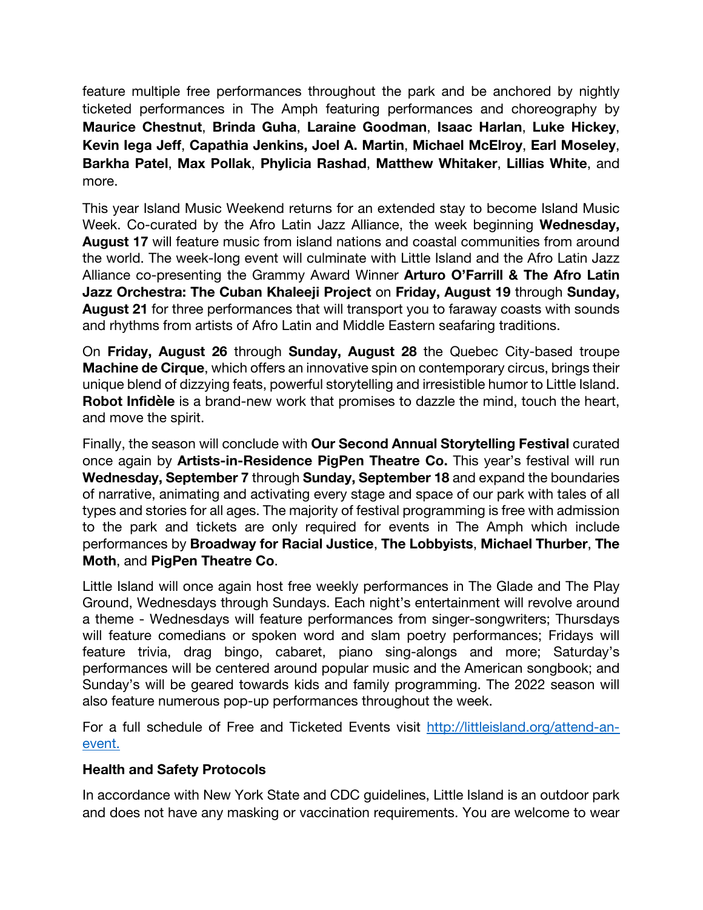feature multiple free performances throughout the park and be anchored by nightly ticketed performances in The Amph featuring performances and choreography by **Maurice Chestnut**, **Brinda Guha**, **Laraine Goodman**, **Isaac Harlan**, **Luke Hickey**, **Kevin Iega Jeff**, **Capathia Jenkins, Joel A. Martin**, **Michael McElroy**, **Earl Moseley**, **Barkha Patel**, **Max Pollak**, **Phylicia Rashad**, **Matthew Whitaker**, **Lillias White**, and more.

This year Island Music Weekend returns for an extended stay to become Island Music Week. Co-curated by the Afro Latin Jazz Alliance, the week beginning **Wednesday, August 17** will feature music from island nations and coastal communities from around the world. The week-long event will culminate with Little Island and the Afro Latin Jazz Alliance co-presenting the Grammy Award Winner **Arturo O'Farrill & The Afro Latin Jazz Orchestra: The Cuban Khaleeji Project** on **Friday, August 19** through **Sunday, August 21** for three performances that will transport you to faraway coasts with sounds and rhythms from artists of Afro Latin and Middle Eastern seafaring traditions.

On **Friday, August 26** through **Sunday, August 28** the Quebec City-based troupe **Machine de Cirque**, which offers an innovative spin on contemporary circus, brings their unique blend of dizzying feats, powerful storytelling and irresistible humor to Little Island. **Robot Infidèle** is a brand-new work that promises to dazzle the mind, touch the heart, and move the spirit.

Finally, the season will conclude with **Our Second Annual Storytelling Festival** curated once again by **Artists-in-Residence PigPen Theatre Co.** This year's festival will run **Wednesday, September 7** through **Sunday, September 18** and expand the boundaries of narrative, animating and activating every stage and space of our park with tales of all types and stories for all ages. The majority of festival programming is free with admission to the park and tickets are only required for events in The Amph which include performances by **Broadway for Racial Justice**, **The Lobbyists**, **Michael Thurber**, **The Moth**, and **PigPen Theatre Co**.

Little Island will once again host free weekly performances in The Glade and The Play Ground, Wednesdays through Sundays. Each night's entertainment will revolve around a theme - Wednesdays will feature performances from singer-songwriters; Thursdays will feature comedians or spoken word and slam poetry performances; Fridays will feature trivia, drag bingo, cabaret, piano sing-alongs and more; Saturday's performances will be centered around popular music and the American songbook; and Sunday's will be geared towards kids and family programming. The 2022 season will also feature numerous pop-up performances throughout the week.

For a full schedule of Free and Ticketed Events visit http://littleisland.org/attend-anevent.

#### **Health and Safety Protocols**

In accordance with New York State and CDC guidelines, Little Island is an outdoor park and does not have any masking or vaccination requirements. You are welcome to wear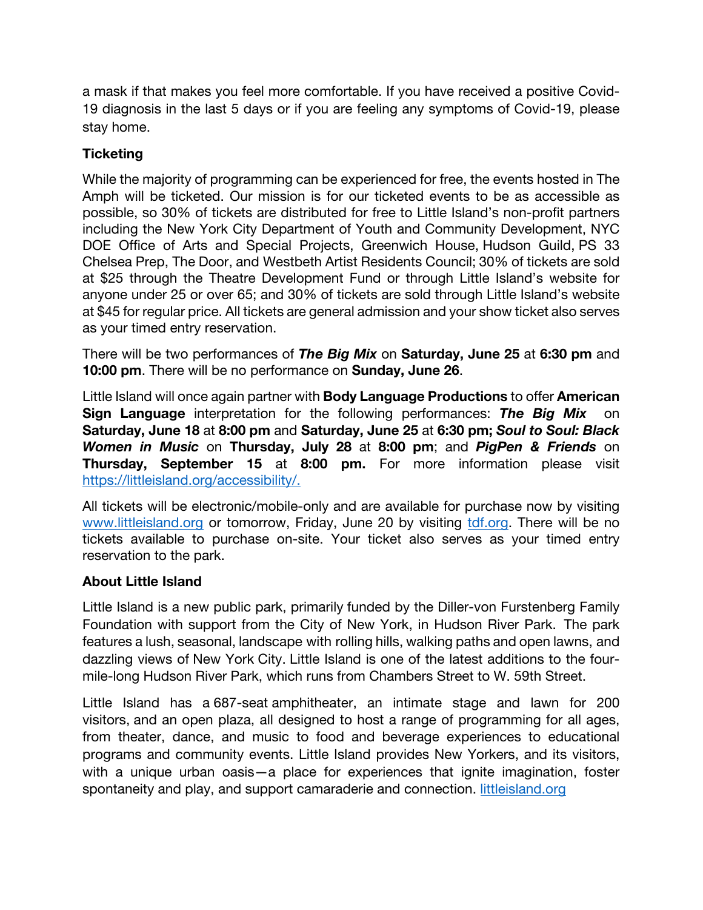a mask if that makes you feel more comfortable. If you have received a positive Covid-19 diagnosis in the last 5 days or if you are feeling any symptoms of Covid-19, please stay home.

#### **Ticketing**

While the majority of programming can be experienced for free, the events hosted in The Amph will be ticketed. Our mission is for our ticketed events to be as accessible as possible, so 30% of tickets are distributed for free to Little Island's non-profit partners including the New York City Department of Youth and Community Development, NYC DOE Office of Arts and Special Projects, Greenwich House, Hudson Guild, PS 33 Chelsea Prep, The Door, and Westbeth Artist Residents Council; 30% of tickets are sold at \$25 through the Theatre Development Fund or through Little Island's website for anyone under 25 or over 65; and 30% of tickets are sold through Little Island's website at \$45 for regular price. All tickets are general admission and your show ticket also serves as your timed entry reservation.

There will be two performances of *The Big Mix* on **Saturday, June 25** at **6:30 pm** and **10:00 pm**. There will be no performance on **Sunday, June 26**.

Little Island will once again partner with **Body Language Productions** to offer **American Sign Language** interpretation for the following performances: *The Big Mix* on **Saturday, June 18** at **8:00 pm** and **Saturday, June 25** at **6:30 pm;** *Soul to Soul: Black Women in Music* on **Thursday, July 28** at **8:00 pm**; and *PigPen & Friends* on **Thursday, September 15** at **8:00 pm.** For more information please visit https://littleisland.org/accessibility/.

All tickets will be electronic/mobile-only and are available for purchase now by visiting www.littleisland.org or tomorrow, Friday, June 20 by visiting tdf.org. There will be no tickets available to purchase on-site. Your ticket also serves as your timed entry reservation to the park.

#### **About Little Island**

Little Island is a new public park, primarily funded by the Diller-von Furstenberg Family Foundation with support from the City of New York, in Hudson River Park. The park features a lush, seasonal, landscape with rolling hills, walking paths and open lawns, and dazzling views of New York City. Little Island is one of the latest additions to the fourmile-long Hudson River Park, which runs from Chambers Street to W. 59th Street.

Little Island has a 687-seat amphitheater, an intimate stage and lawn for 200 visitors, and an open plaza, all designed to host a range of programming for all ages, from theater, dance, and music to food and beverage experiences to educational programs and community events. Little Island provides New Yorkers, and its visitors, with a unique urban oasis—a place for experiences that ignite imagination, foster spontaneity and play, and support camaraderie and connection. littleisland.org